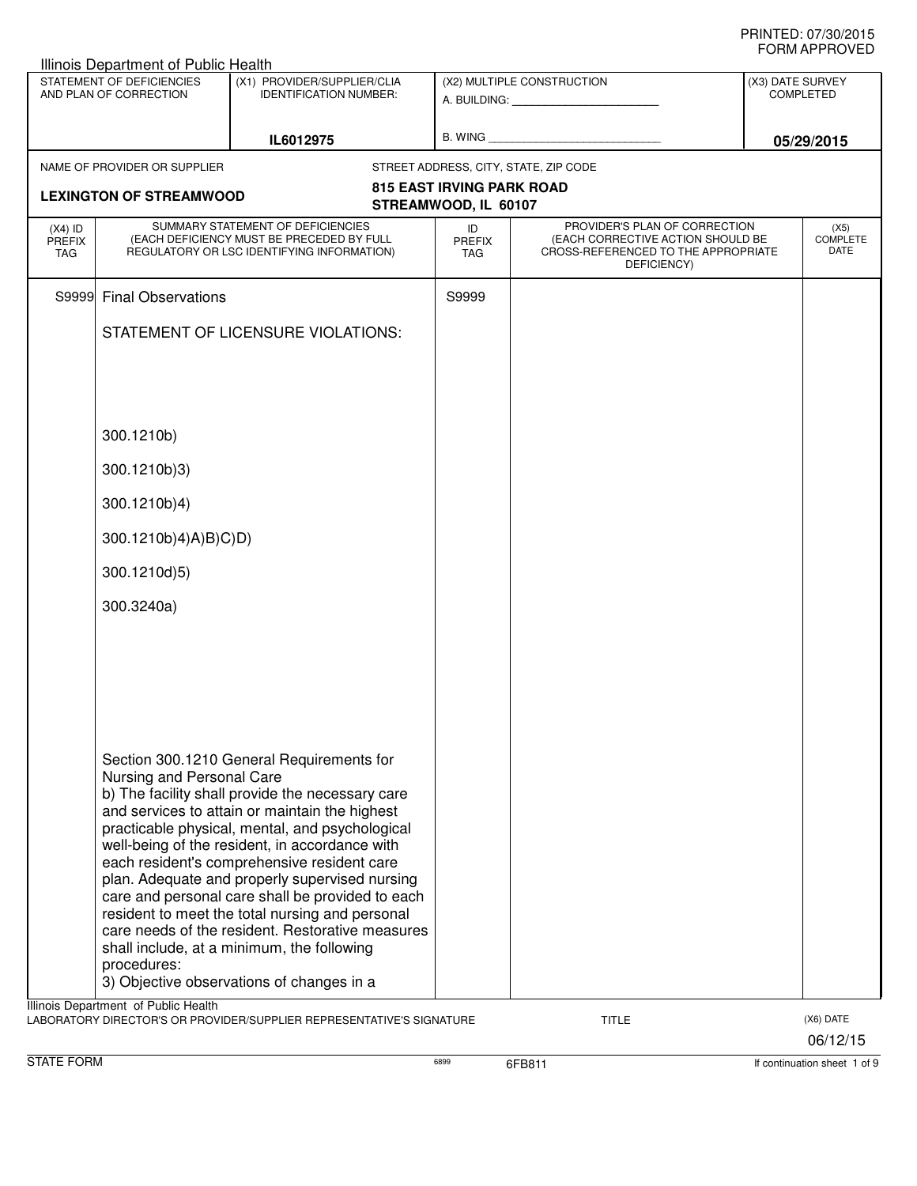|                                                                                            | Illinois Department of Public Health                                             |                                                                                                                                                                                                                                                                                                                                                                                                                                                                                                                                                                                                                                                                                      |                                   |                                                                                                                          |                  |                                 |
|--------------------------------------------------------------------------------------------|----------------------------------------------------------------------------------|--------------------------------------------------------------------------------------------------------------------------------------------------------------------------------------------------------------------------------------------------------------------------------------------------------------------------------------------------------------------------------------------------------------------------------------------------------------------------------------------------------------------------------------------------------------------------------------------------------------------------------------------------------------------------------------|-----------------------------------|--------------------------------------------------------------------------------------------------------------------------|------------------|---------------------------------|
|                                                                                            | STATEMENT OF DEFICIENCIES<br>AND PLAN OF CORRECTION                              | (X1) PROVIDER/SUPPLIER/CLIA<br><b>IDENTIFICATION NUMBER:</b>                                                                                                                                                                                                                                                                                                                                                                                                                                                                                                                                                                                                                         |                                   | (X2) MULTIPLE CONSTRUCTION                                                                                               | (X3) DATE SURVEY | <b>COMPLETED</b>                |
|                                                                                            |                                                                                  | IL6012975                                                                                                                                                                                                                                                                                                                                                                                                                                                                                                                                                                                                                                                                            |                                   |                                                                                                                          |                  | 05/29/2015                      |
|                                                                                            | NAME OF PROVIDER OR SUPPLIER                                                     |                                                                                                                                                                                                                                                                                                                                                                                                                                                                                                                                                                                                                                                                                      |                                   | STREET ADDRESS, CITY, STATE, ZIP CODE                                                                                    |                  |                                 |
| <b>815 EAST IRVING PARK ROAD</b><br><b>LEXINGTON OF STREAMWOOD</b><br>STREAMWOOD, IL 60107 |                                                                                  |                                                                                                                                                                                                                                                                                                                                                                                                                                                                                                                                                                                                                                                                                      |                                   |                                                                                                                          |                  |                                 |
| $(X4)$ ID<br><b>PREFIX</b><br><b>TAG</b>                                                   |                                                                                  | SUMMARY STATEMENT OF DEFICIENCIES<br>(EACH DEFICIENCY MUST BE PRECEDED BY FULL<br>REGULATORY OR LSC IDENTIFYING INFORMATION)                                                                                                                                                                                                                                                                                                                                                                                                                                                                                                                                                         | ID<br><b>PREFIX</b><br><b>TAG</b> | PROVIDER'S PLAN OF CORRECTION<br>(EACH CORRECTIVE ACTION SHOULD BE<br>CROSS-REFERENCED TO THE APPROPRIATE<br>DEFICIENCY) |                  | (X5)<br><b>COMPLETE</b><br>DATE |
| S9999                                                                                      | <b>Final Observations</b>                                                        |                                                                                                                                                                                                                                                                                                                                                                                                                                                                                                                                                                                                                                                                                      | S9999                             |                                                                                                                          |                  |                                 |
|                                                                                            |                                                                                  | STATEMENT OF LICENSURE VIOLATIONS:                                                                                                                                                                                                                                                                                                                                                                                                                                                                                                                                                                                                                                                   |                                   |                                                                                                                          |                  |                                 |
|                                                                                            |                                                                                  |                                                                                                                                                                                                                                                                                                                                                                                                                                                                                                                                                                                                                                                                                      |                                   |                                                                                                                          |                  |                                 |
|                                                                                            |                                                                                  |                                                                                                                                                                                                                                                                                                                                                                                                                                                                                                                                                                                                                                                                                      |                                   |                                                                                                                          |                  |                                 |
|                                                                                            | 300.1210b)                                                                       |                                                                                                                                                                                                                                                                                                                                                                                                                                                                                                                                                                                                                                                                                      |                                   |                                                                                                                          |                  |                                 |
|                                                                                            | 300.1210b)3)                                                                     |                                                                                                                                                                                                                                                                                                                                                                                                                                                                                                                                                                                                                                                                                      |                                   |                                                                                                                          |                  |                                 |
|                                                                                            | 300.1210b)4)                                                                     |                                                                                                                                                                                                                                                                                                                                                                                                                                                                                                                                                                                                                                                                                      |                                   |                                                                                                                          |                  |                                 |
|                                                                                            | 300.1210b)4)A)B)C)D)                                                             |                                                                                                                                                                                                                                                                                                                                                                                                                                                                                                                                                                                                                                                                                      |                                   |                                                                                                                          |                  |                                 |
|                                                                                            | 300.1210d)5)                                                                     |                                                                                                                                                                                                                                                                                                                                                                                                                                                                                                                                                                                                                                                                                      |                                   |                                                                                                                          |                  |                                 |
|                                                                                            | 300.3240a)                                                                       |                                                                                                                                                                                                                                                                                                                                                                                                                                                                                                                                                                                                                                                                                      |                                   |                                                                                                                          |                  |                                 |
|                                                                                            |                                                                                  |                                                                                                                                                                                                                                                                                                                                                                                                                                                                                                                                                                                                                                                                                      |                                   |                                                                                                                          |                  |                                 |
|                                                                                            |                                                                                  |                                                                                                                                                                                                                                                                                                                                                                                                                                                                                                                                                                                                                                                                                      |                                   |                                                                                                                          |                  |                                 |
|                                                                                            |                                                                                  |                                                                                                                                                                                                                                                                                                                                                                                                                                                                                                                                                                                                                                                                                      |                                   |                                                                                                                          |                  |                                 |
|                                                                                            | Nursing and Personal Care<br>procedures:<br>Illinois Department of Public Health | Section 300.1210 General Requirements for<br>b) The facility shall provide the necessary care<br>and services to attain or maintain the highest<br>practicable physical, mental, and psychological<br>well-being of the resident, in accordance with<br>each resident's comprehensive resident care<br>plan. Adequate and properly supervised nursing<br>care and personal care shall be provided to each<br>resident to meet the total nursing and personal<br>care needs of the resident. Restorative measures<br>shall include, at a minimum, the following<br>3) Objective observations of changes in a<br>LABORATORY DIRECTOR'S OR PROVIDER/SUPPLIER REPRESENTATIVE'S SIGNATURE |                                   | TITLE                                                                                                                    |                  | (X6) DATE                       |
|                                                                                            |                                                                                  |                                                                                                                                                                                                                                                                                                                                                                                                                                                                                                                                                                                                                                                                                      |                                   |                                                                                                                          |                  | 06/12/15                        |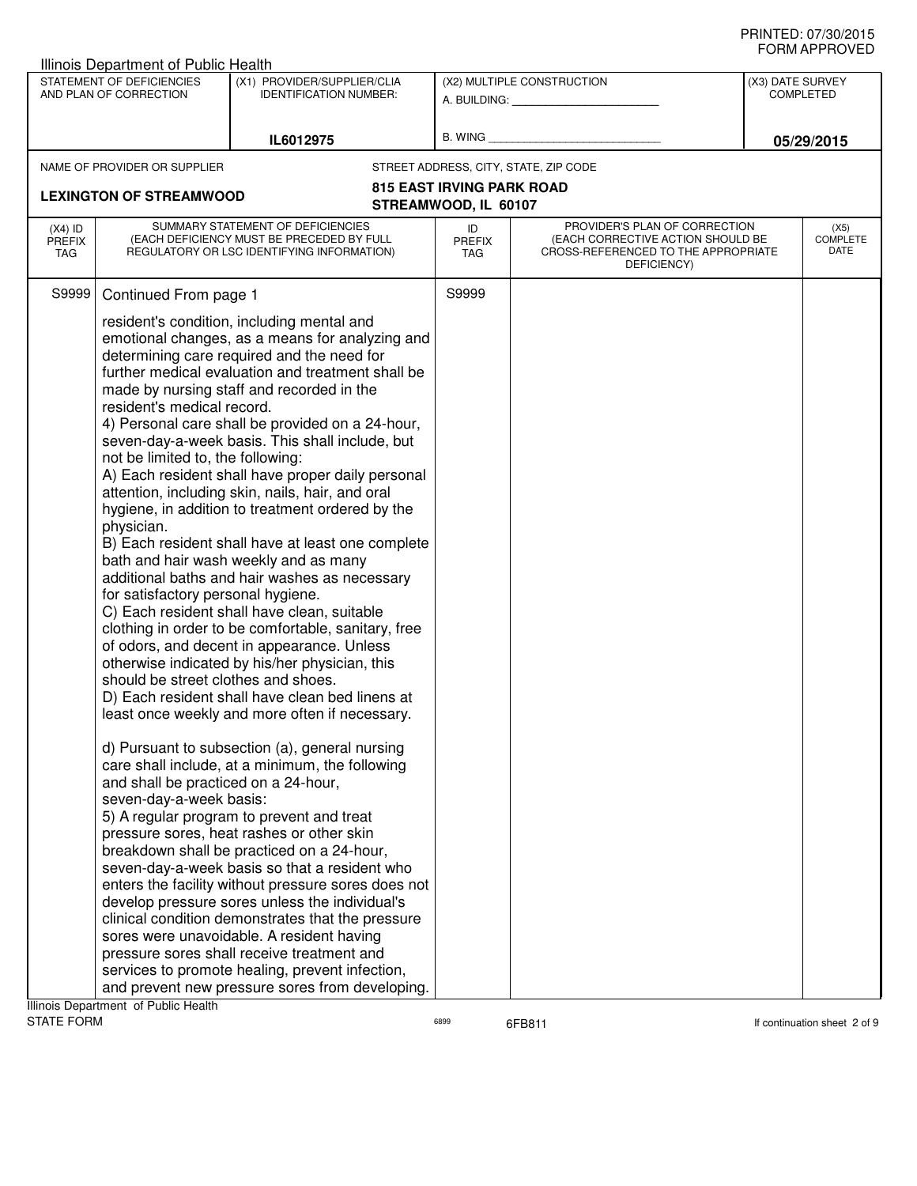|                                | <b>Illinois Department of Public Health</b>                                                                                                                                                                                   |                                                                                                                                                                                                                                                                                                                                                                                                                                                                                                                                                                                                                                                                                                                                                                                                                                                                                                                                                                                                                                                                                                                                                                                                                                                                                                                                                                                                                                                                                                                                    |                            |                                                                                                                          |                  |                                 |
|--------------------------------|-------------------------------------------------------------------------------------------------------------------------------------------------------------------------------------------------------------------------------|------------------------------------------------------------------------------------------------------------------------------------------------------------------------------------------------------------------------------------------------------------------------------------------------------------------------------------------------------------------------------------------------------------------------------------------------------------------------------------------------------------------------------------------------------------------------------------------------------------------------------------------------------------------------------------------------------------------------------------------------------------------------------------------------------------------------------------------------------------------------------------------------------------------------------------------------------------------------------------------------------------------------------------------------------------------------------------------------------------------------------------------------------------------------------------------------------------------------------------------------------------------------------------------------------------------------------------------------------------------------------------------------------------------------------------------------------------------------------------------------------------------------------------|----------------------------|--------------------------------------------------------------------------------------------------------------------------|------------------|---------------------------------|
|                                | STATEMENT OF DEFICIENCIES<br>AND PLAN OF CORRECTION                                                                                                                                                                           | (X1) PROVIDER/SUPPLIER/CLIA<br><b>IDENTIFICATION NUMBER:</b>                                                                                                                                                                                                                                                                                                                                                                                                                                                                                                                                                                                                                                                                                                                                                                                                                                                                                                                                                                                                                                                                                                                                                                                                                                                                                                                                                                                                                                                                       |                            | (X2) MULTIPLE CONSTRUCTION<br>A. BUILDING: A. BUILDING:                                                                  | (X3) DATE SURVEY | <b>COMPLETED</b>                |
|                                |                                                                                                                                                                                                                               | IL6012975                                                                                                                                                                                                                                                                                                                                                                                                                                                                                                                                                                                                                                                                                                                                                                                                                                                                                                                                                                                                                                                                                                                                                                                                                                                                                                                                                                                                                                                                                                                          | B. WING                    |                                                                                                                          |                  | 05/29/2015                      |
|                                | NAME OF PROVIDER OR SUPPLIER                                                                                                                                                                                                  |                                                                                                                                                                                                                                                                                                                                                                                                                                                                                                                                                                                                                                                                                                                                                                                                                                                                                                                                                                                                                                                                                                                                                                                                                                                                                                                                                                                                                                                                                                                                    |                            | STREET ADDRESS, CITY, STATE, ZIP CODE                                                                                    |                  |                                 |
| <b>LEXINGTON OF STREAMWOOD</b> |                                                                                                                                                                                                                               | <b>815 EAST IRVING PARK ROAD</b>                                                                                                                                                                                                                                                                                                                                                                                                                                                                                                                                                                                                                                                                                                                                                                                                                                                                                                                                                                                                                                                                                                                                                                                                                                                                                                                                                                                                                                                                                                   |                            |                                                                                                                          |                  |                                 |
|                                |                                                                                                                                                                                                                               |                                                                                                                                                                                                                                                                                                                                                                                                                                                                                                                                                                                                                                                                                                                                                                                                                                                                                                                                                                                                                                                                                                                                                                                                                                                                                                                                                                                                                                                                                                                                    | STREAMWOOD, IL 60107       |                                                                                                                          |                  |                                 |
| $(X4)$ ID<br>PREFIX<br>TAG     |                                                                                                                                                                                                                               | SUMMARY STATEMENT OF DEFICIENCIES<br>(EACH DEFICIENCY MUST BE PRECEDED BY FULL<br>REGULATORY OR LSC IDENTIFYING INFORMATION)                                                                                                                                                                                                                                                                                                                                                                                                                                                                                                                                                                                                                                                                                                                                                                                                                                                                                                                                                                                                                                                                                                                                                                                                                                                                                                                                                                                                       | ID<br><b>PREFIX</b><br>TAG | PROVIDER'S PLAN OF CORRECTION<br>(EACH CORRECTIVE ACTION SHOULD BE<br>CROSS-REFERENCED TO THE APPROPRIATE<br>DEFICIENCY) |                  | (X5)<br><b>COMPLETE</b><br>DATE |
| S9999                          | Continued From page 1                                                                                                                                                                                                         |                                                                                                                                                                                                                                                                                                                                                                                                                                                                                                                                                                                                                                                                                                                                                                                                                                                                                                                                                                                                                                                                                                                                                                                                                                                                                                                                                                                                                                                                                                                                    | S9999                      |                                                                                                                          |                  |                                 |
|                                | resident's medical record.<br>not be limited to, the following:<br>physician.<br>for satisfactory personal hygiene.<br>should be street clothes and shoes.<br>and shall be practiced on a 24-hour,<br>seven-day-a-week basis: | resident's condition, including mental and<br>emotional changes, as a means for analyzing and<br>determining care required and the need for<br>further medical evaluation and treatment shall be<br>made by nursing staff and recorded in the<br>4) Personal care shall be provided on a 24-hour,<br>seven-day-a-week basis. This shall include, but<br>A) Each resident shall have proper daily personal<br>attention, including skin, nails, hair, and oral<br>hygiene, in addition to treatment ordered by the<br>B) Each resident shall have at least one complete<br>bath and hair wash weekly and as many<br>additional baths and hair washes as necessary<br>C) Each resident shall have clean, suitable<br>clothing in order to be comfortable, sanitary, free<br>of odors, and decent in appearance. Unless<br>otherwise indicated by his/her physician, this<br>D) Each resident shall have clean bed linens at<br>least once weekly and more often if necessary.<br>d) Pursuant to subsection (a), general nursing<br>care shall include, at a minimum, the following<br>5) A regular program to prevent and treat<br>pressure sores, heat rashes or other skin<br>breakdown shall be practiced on a 24-hour,<br>seven-day-a-week basis so that a resident who<br>enters the facility without pressure sores does not<br>develop pressure sores unless the individual's<br>clinical condition demonstrates that the pressure<br>sores were unavoidable. A resident having<br>pressure sores shall receive treatment and |                            |                                                                                                                          |                  |                                 |
|                                |                                                                                                                                                                                                                               | services to promote healing, prevent infection,<br>and prevent new pressure sores from developing.                                                                                                                                                                                                                                                                                                                                                                                                                                                                                                                                                                                                                                                                                                                                                                                                                                                                                                                                                                                                                                                                                                                                                                                                                                                                                                                                                                                                                                 |                            |                                                                                                                          |                  |                                 |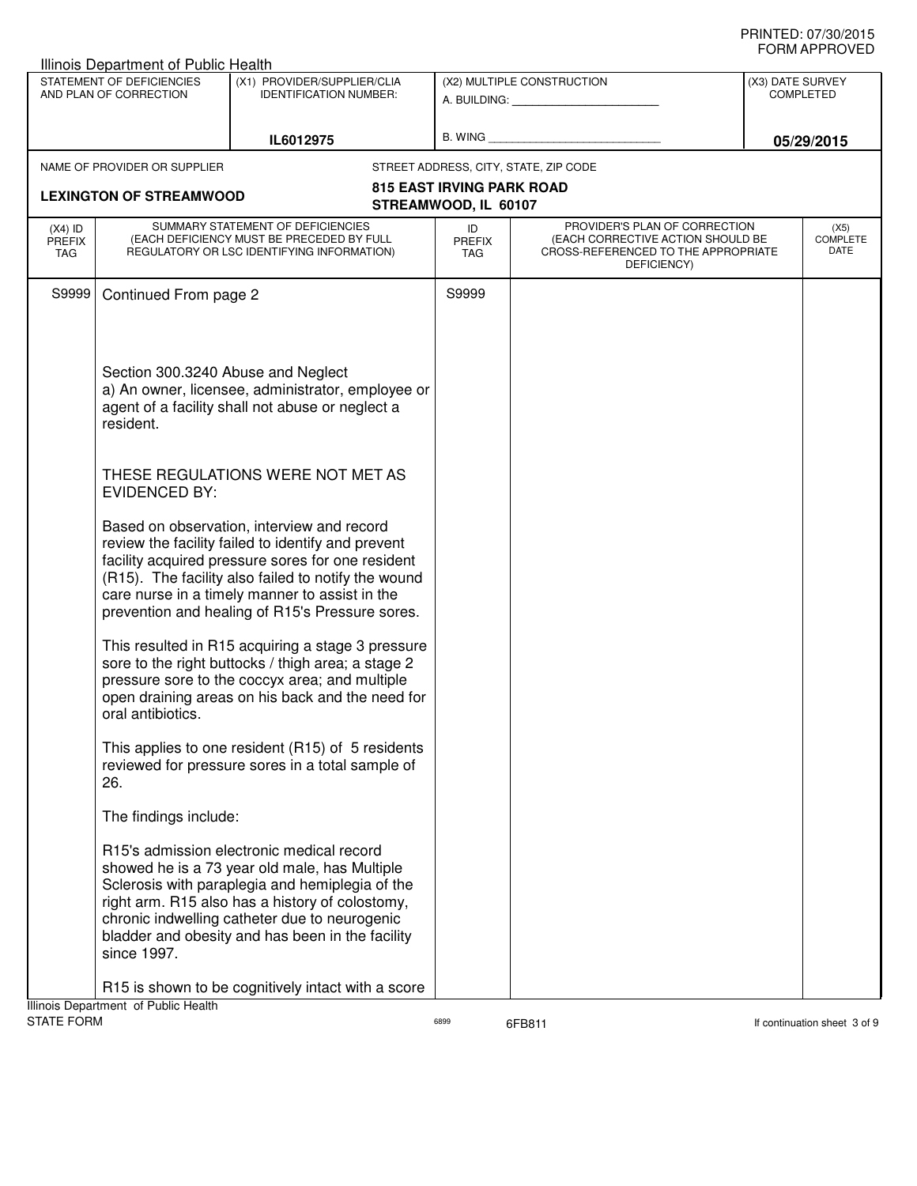|                                          | Illinois Department of Public Health                |                                                                                                                                                                                                                                                                                                                   |                                  |                                                                                                                          |                  |                                 |
|------------------------------------------|-----------------------------------------------------|-------------------------------------------------------------------------------------------------------------------------------------------------------------------------------------------------------------------------------------------------------------------------------------------------------------------|----------------------------------|--------------------------------------------------------------------------------------------------------------------------|------------------|---------------------------------|
|                                          | STATEMENT OF DEFICIENCIES<br>AND PLAN OF CORRECTION | (X1) PROVIDER/SUPPLIER/CLIA<br><b>IDENTIFICATION NUMBER:</b>                                                                                                                                                                                                                                                      |                                  | (X2) MULTIPLE CONSTRUCTION<br>A. BUILDING: A. BUILDING:                                                                  | (X3) DATE SURVEY | <b>COMPLETED</b>                |
|                                          |                                                     |                                                                                                                                                                                                                                                                                                                   |                                  |                                                                                                                          |                  |                                 |
|                                          |                                                     | IL6012975                                                                                                                                                                                                                                                                                                         | B. WING                          |                                                                                                                          |                  | 05/29/2015                      |
|                                          | NAME OF PROVIDER OR SUPPLIER                        |                                                                                                                                                                                                                                                                                                                   |                                  | STREET ADDRESS, CITY, STATE, ZIP CODE                                                                                    |                  |                                 |
|                                          | <b>LEXINGTON OF STREAMWOOD</b>                      |                                                                                                                                                                                                                                                                                                                   | <b>815 EAST IRVING PARK ROAD</b> |                                                                                                                          |                  |                                 |
|                                          |                                                     |                                                                                                                                                                                                                                                                                                                   | STREAMWOOD, IL 60107             |                                                                                                                          |                  |                                 |
| $(X4)$ ID<br><b>PREFIX</b><br><b>TAG</b> |                                                     | SUMMARY STATEMENT OF DEFICIENCIES<br>(EACH DEFICIENCY MUST BE PRECEDED BY FULL<br>REGULATORY OR LSC IDENTIFYING INFORMATION)                                                                                                                                                                                      | ID<br>PREFIX<br><b>TAG</b>       | PROVIDER'S PLAN OF CORRECTION<br>(EACH CORRECTIVE ACTION SHOULD BE<br>CROSS-REFERENCED TO THE APPROPRIATE<br>DEFICIENCY) |                  | (X5)<br><b>COMPLETE</b><br>DATE |
| S9999                                    | Continued From page 2                               |                                                                                                                                                                                                                                                                                                                   | S9999                            |                                                                                                                          |                  |                                 |
|                                          | Section 300.3240 Abuse and Neglect<br>resident.     | a) An owner, licensee, administrator, employee or<br>agent of a facility shall not abuse or neglect a                                                                                                                                                                                                             |                                  |                                                                                                                          |                  |                                 |
|                                          | <b>EVIDENCED BY:</b>                                | THESE REGULATIONS WERE NOT MET AS                                                                                                                                                                                                                                                                                 |                                  |                                                                                                                          |                  |                                 |
|                                          |                                                     | Based on observation, interview and record<br>review the facility failed to identify and prevent<br>facility acquired pressure sores for one resident<br>(R15). The facility also failed to notify the wound<br>care nurse in a timely manner to assist in the<br>prevention and healing of R15's Pressure sores. |                                  |                                                                                                                          |                  |                                 |
|                                          | oral antibiotics.                                   | This resulted in R15 acquiring a stage 3 pressure<br>sore to the right buttocks / thigh area; a stage 2<br>pressure sore to the coccyx area; and multiple<br>open draining areas on his back and the need for                                                                                                     |                                  |                                                                                                                          |                  |                                 |
|                                          | 26.                                                 | This applies to one resident (R15) of 5 residents<br>reviewed for pressure sores in a total sample of                                                                                                                                                                                                             |                                  |                                                                                                                          |                  |                                 |
|                                          | The findings include:                               |                                                                                                                                                                                                                                                                                                                   |                                  |                                                                                                                          |                  |                                 |
|                                          | since 1997.                                         | R15's admission electronic medical record<br>showed he is a 73 year old male, has Multiple<br>Sclerosis with paraplegia and hemiplegia of the<br>right arm. R15 also has a history of colostomy,<br>chronic indwelling catheter due to neurogenic<br>bladder and obesity and has been in the facility             |                                  |                                                                                                                          |                  |                                 |
|                                          | Illinois Department of Public Health                | R15 is shown to be cognitively intact with a score                                                                                                                                                                                                                                                                |                                  |                                                                                                                          |                  |                                 |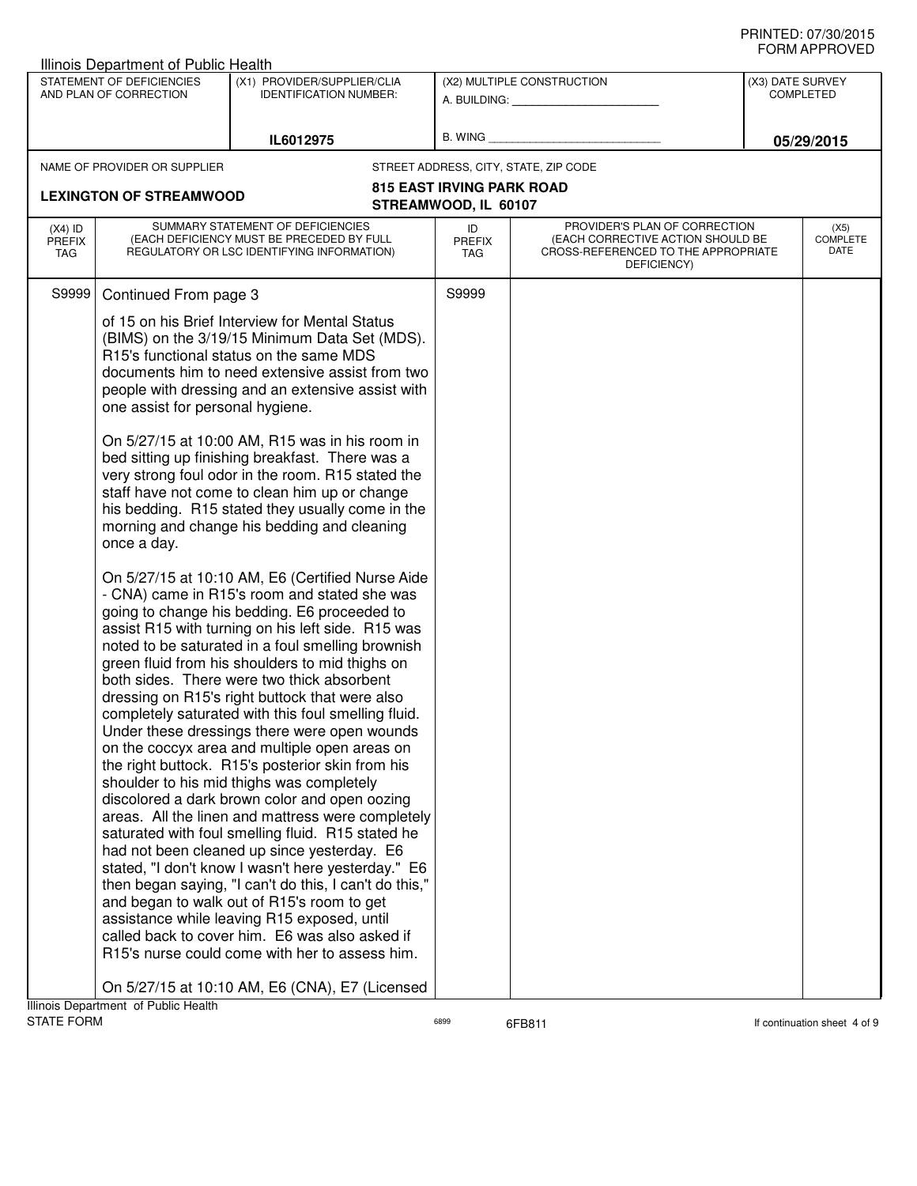|                                   | Illinois Department of Public Health                |                                                                                                                                                                                                                                                                                                                                                                                                                                                                                                                                                                                                                                                                                                                                                                                                                                                                                                                                                                                                                                                                                                                                                                                                   |                                   |                                                                                                                          |                  |                                 |
|-----------------------------------|-----------------------------------------------------|---------------------------------------------------------------------------------------------------------------------------------------------------------------------------------------------------------------------------------------------------------------------------------------------------------------------------------------------------------------------------------------------------------------------------------------------------------------------------------------------------------------------------------------------------------------------------------------------------------------------------------------------------------------------------------------------------------------------------------------------------------------------------------------------------------------------------------------------------------------------------------------------------------------------------------------------------------------------------------------------------------------------------------------------------------------------------------------------------------------------------------------------------------------------------------------------------|-----------------------------------|--------------------------------------------------------------------------------------------------------------------------|------------------|---------------------------------|
|                                   | STATEMENT OF DEFICIENCIES<br>AND PLAN OF CORRECTION | (X1) PROVIDER/SUPPLIER/CLIA<br><b>IDENTIFICATION NUMBER:</b>                                                                                                                                                                                                                                                                                                                                                                                                                                                                                                                                                                                                                                                                                                                                                                                                                                                                                                                                                                                                                                                                                                                                      |                                   | (X2) MULTIPLE CONSTRUCTION<br>A. BUILDING: A. BUILDING:                                                                  | (X3) DATE SURVEY | <b>COMPLETED</b>                |
|                                   |                                                     | IL6012975                                                                                                                                                                                                                                                                                                                                                                                                                                                                                                                                                                                                                                                                                                                                                                                                                                                                                                                                                                                                                                                                                                                                                                                         | B. WING                           |                                                                                                                          |                  | 05/29/2015                      |
|                                   | NAME OF PROVIDER OR SUPPLIER                        |                                                                                                                                                                                                                                                                                                                                                                                                                                                                                                                                                                                                                                                                                                                                                                                                                                                                                                                                                                                                                                                                                                                                                                                                   |                                   | STREET ADDRESS, CITY, STATE, ZIP CODE                                                                                    |                  |                                 |
|                                   |                                                     |                                                                                                                                                                                                                                                                                                                                                                                                                                                                                                                                                                                                                                                                                                                                                                                                                                                                                                                                                                                                                                                                                                                                                                                                   | 815 EAST IRVING PARK ROAD         |                                                                                                                          |                  |                                 |
|                                   | <b>LEXINGTON OF STREAMWOOD</b>                      |                                                                                                                                                                                                                                                                                                                                                                                                                                                                                                                                                                                                                                                                                                                                                                                                                                                                                                                                                                                                                                                                                                                                                                                                   | STREAMWOOD, IL 60107              |                                                                                                                          |                  |                                 |
| $(X4)$ ID<br><b>PREFIX</b><br>TAG |                                                     | SUMMARY STATEMENT OF DEFICIENCIES<br>(EACH DEFICIENCY MUST BE PRECEDED BY FULL<br>REGULATORY OR LSC IDENTIFYING INFORMATION)                                                                                                                                                                                                                                                                                                                                                                                                                                                                                                                                                                                                                                                                                                                                                                                                                                                                                                                                                                                                                                                                      | ID<br><b>PREFIX</b><br><b>TAG</b> | PROVIDER'S PLAN OF CORRECTION<br>(EACH CORRECTIVE ACTION SHOULD BE<br>CROSS-REFERENCED TO THE APPROPRIATE<br>DEFICIENCY) |                  | (X5)<br><b>COMPLETE</b><br>DATE |
|                                   | one assist for personal hygiene.                    | of 15 on his Brief Interview for Mental Status<br>(BIMS) on the 3/19/15 Minimum Data Set (MDS).<br>R15's functional status on the same MDS<br>documents him to need extensive assist from two<br>people with dressing and an extensive assist with                                                                                                                                                                                                                                                                                                                                                                                                                                                                                                                                                                                                                                                                                                                                                                                                                                                                                                                                                |                                   |                                                                                                                          |                  |                                 |
|                                   | once a day.                                         | On 5/27/15 at 10:00 AM, R15 was in his room in<br>bed sitting up finishing breakfast. There was a<br>very strong foul odor in the room. R15 stated the<br>staff have not come to clean him up or change<br>his bedding. R15 stated they usually come in the<br>morning and change his bedding and cleaning                                                                                                                                                                                                                                                                                                                                                                                                                                                                                                                                                                                                                                                                                                                                                                                                                                                                                        |                                   |                                                                                                                          |                  |                                 |
|                                   |                                                     | On 5/27/15 at 10:10 AM, E6 (Certified Nurse Aide<br>- CNA) came in R15's room and stated she was<br>going to change his bedding. E6 proceeded to<br>assist R15 with turning on his left side. R15 was<br>noted to be saturated in a foul smelling brownish<br>green fluid from his shoulders to mid thighs on<br>both sides. There were two thick absorbent<br>dressing on R15's right buttock that were also<br>completely saturated with this foul smelling fluid.<br>Under these dressings there were open wounds<br>on the coccyx area and multiple open areas on<br>the right buttock. R15's posterior skin from his<br>shoulder to his mid thighs was completely<br>discolored a dark brown color and open oozing<br>areas. All the linen and mattress were completely<br>saturated with foul smelling fluid. R15 stated he<br>had not been cleaned up since yesterday. E6<br>stated, "I don't know I wasn't here yesterday." E6<br>then began saying, "I can't do this, I can't do this,"<br>and began to walk out of R15's room to get<br>assistance while leaving R15 exposed, until<br>called back to cover him. E6 was also asked if<br>R15's nurse could come with her to assess him. |                                   |                                                                                                                          |                  |                                 |
| <b>STATE FORM</b>                 | Illinois Department of Public Health                | On 5/27/15 at 10:10 AM, E6 (CNA), E7 (Licensed                                                                                                                                                                                                                                                                                                                                                                                                                                                                                                                                                                                                                                                                                                                                                                                                                                                                                                                                                                                                                                                                                                                                                    | 6899                              | 6FB811                                                                                                                   |                  | If continuation sheet 4 of 9    |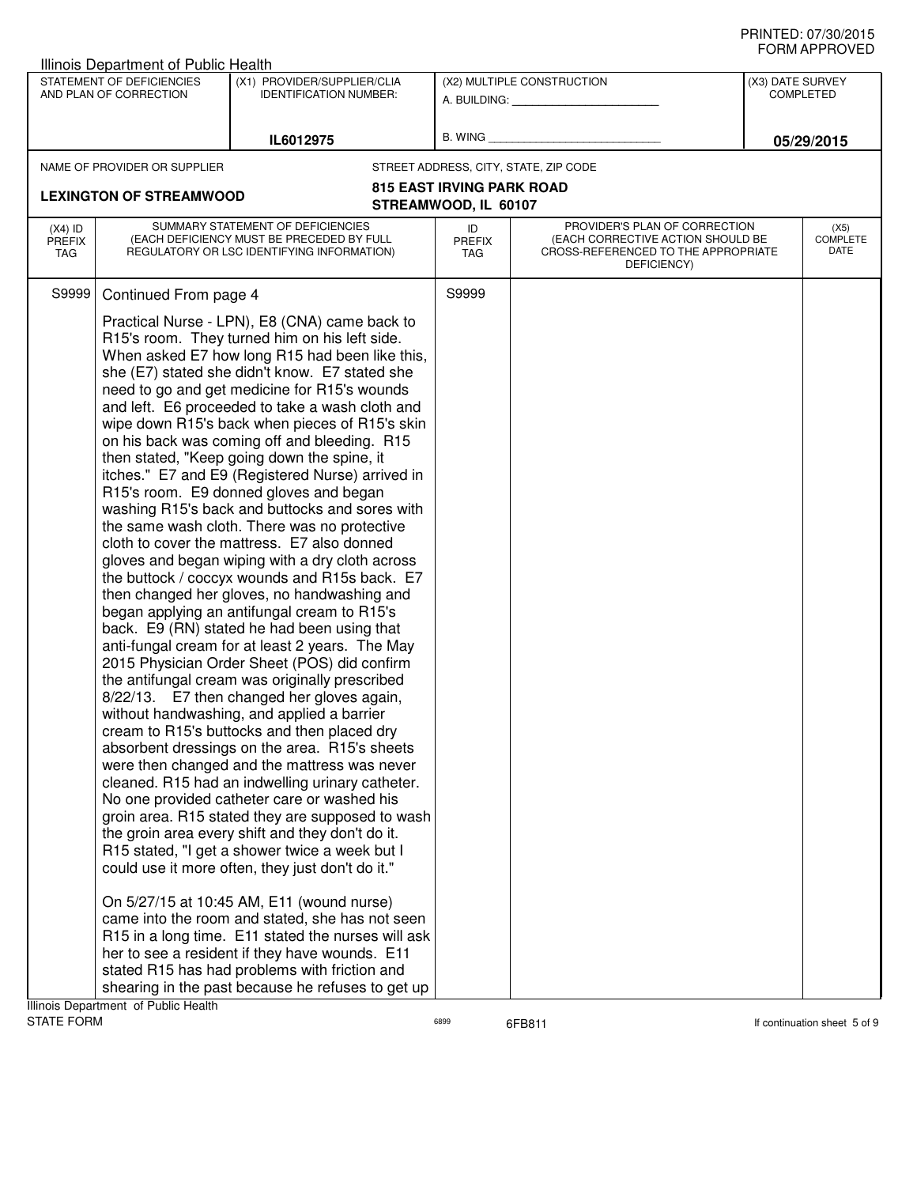|                                   | Illinois Department of Public Health                |                                                                                                                                                                                                                                                                                                                                                                                                                                                                                                                                                                                                                                                                                                                                                                                                                                                                                                                                                                                                                                                                                                                                                                                                                                                                                                                                                                                                                                                                                                                                                                                                                                                                                                                                                                                                                                                                                                                                                                                        |                            |                                                                                                                          |                  | ◡੶┉୷੶੶੶੶੶◡▾∟◡            |
|-----------------------------------|-----------------------------------------------------|----------------------------------------------------------------------------------------------------------------------------------------------------------------------------------------------------------------------------------------------------------------------------------------------------------------------------------------------------------------------------------------------------------------------------------------------------------------------------------------------------------------------------------------------------------------------------------------------------------------------------------------------------------------------------------------------------------------------------------------------------------------------------------------------------------------------------------------------------------------------------------------------------------------------------------------------------------------------------------------------------------------------------------------------------------------------------------------------------------------------------------------------------------------------------------------------------------------------------------------------------------------------------------------------------------------------------------------------------------------------------------------------------------------------------------------------------------------------------------------------------------------------------------------------------------------------------------------------------------------------------------------------------------------------------------------------------------------------------------------------------------------------------------------------------------------------------------------------------------------------------------------------------------------------------------------------------------------------------------------|----------------------------|--------------------------------------------------------------------------------------------------------------------------|------------------|--------------------------|
|                                   | STATEMENT OF DEFICIENCIES<br>AND PLAN OF CORRECTION | (X1) PROVIDER/SUPPLIER/CLIA<br><b>IDENTIFICATION NUMBER:</b>                                                                                                                                                                                                                                                                                                                                                                                                                                                                                                                                                                                                                                                                                                                                                                                                                                                                                                                                                                                                                                                                                                                                                                                                                                                                                                                                                                                                                                                                                                                                                                                                                                                                                                                                                                                                                                                                                                                           |                            | (X2) MULTIPLE CONSTRUCTION<br>A. BUILDING: A.                                                                            | (X3) DATE SURVEY | COMPLETED                |
|                                   |                                                     | IL6012975                                                                                                                                                                                                                                                                                                                                                                                                                                                                                                                                                                                                                                                                                                                                                                                                                                                                                                                                                                                                                                                                                                                                                                                                                                                                                                                                                                                                                                                                                                                                                                                                                                                                                                                                                                                                                                                                                                                                                                              | B. WING                    |                                                                                                                          |                  | 05/29/2015               |
|                                   | NAME OF PROVIDER OR SUPPLIER                        |                                                                                                                                                                                                                                                                                                                                                                                                                                                                                                                                                                                                                                                                                                                                                                                                                                                                                                                                                                                                                                                                                                                                                                                                                                                                                                                                                                                                                                                                                                                                                                                                                                                                                                                                                                                                                                                                                                                                                                                        |                            | STREET ADDRESS, CITY, STATE, ZIP CODE                                                                                    |                  |                          |
| <b>LEXINGTON OF STREAMWOOD</b>    |                                                     | <b>815 EAST IRVING PARK ROAD</b><br>STREAMWOOD, IL 60107                                                                                                                                                                                                                                                                                                                                                                                                                                                                                                                                                                                                                                                                                                                                                                                                                                                                                                                                                                                                                                                                                                                                                                                                                                                                                                                                                                                                                                                                                                                                                                                                                                                                                                                                                                                                                                                                                                                               |                            |                                                                                                                          |                  |                          |
| $(X4)$ ID<br><b>PREFIX</b><br>TAG |                                                     | SUMMARY STATEMENT OF DEFICIENCIES<br>(EACH DEFICIENCY MUST BE PRECEDED BY FULL<br>REGULATORY OR LSC IDENTIFYING INFORMATION)                                                                                                                                                                                                                                                                                                                                                                                                                                                                                                                                                                                                                                                                                                                                                                                                                                                                                                                                                                                                                                                                                                                                                                                                                                                                                                                                                                                                                                                                                                                                                                                                                                                                                                                                                                                                                                                           | ID<br><b>PREFIX</b><br>TAG | PROVIDER'S PLAN OF CORRECTION<br>(EACH CORRECTIVE ACTION SHOULD BE<br>CROSS-REFERENCED TO THE APPROPRIATE<br>DEFICIENCY) |                  | (X5)<br>COMPLETE<br>DATE |
| S9999                             | Continued From page 4                               |                                                                                                                                                                                                                                                                                                                                                                                                                                                                                                                                                                                                                                                                                                                                                                                                                                                                                                                                                                                                                                                                                                                                                                                                                                                                                                                                                                                                                                                                                                                                                                                                                                                                                                                                                                                                                                                                                                                                                                                        | S9999                      |                                                                                                                          |                  |                          |
|                                   | Illinois Department of Public Health                | Practical Nurse - LPN), E8 (CNA) came back to<br>R15's room. They turned him on his left side.<br>When asked E7 how long R15 had been like this,<br>she (E7) stated she didn't know. E7 stated she<br>need to go and get medicine for R15's wounds<br>and left. E6 proceeded to take a wash cloth and<br>wipe down R15's back when pieces of R15's skin<br>on his back was coming off and bleeding. R15<br>then stated, "Keep going down the spine, it<br>itches." E7 and E9 (Registered Nurse) arrived in<br>R15's room. E9 donned gloves and began<br>washing R15's back and buttocks and sores with<br>the same wash cloth. There was no protective<br>cloth to cover the mattress. E7 also donned<br>gloves and began wiping with a dry cloth across<br>the buttock / coccyx wounds and R15s back. E7<br>then changed her gloves, no handwashing and<br>began applying an antifungal cream to R15's<br>back. E9 (RN) stated he had been using that<br>anti-fungal cream for at least 2 years. The May<br>2015 Physician Order Sheet (POS) did confirm<br>the antifungal cream was originally prescribed<br>8/22/13. E7 then changed her gloves again,<br>without handwashing, and applied a barrier<br>cream to R15's buttocks and then placed dry<br>absorbent dressings on the area. R15's sheets<br>were then changed and the mattress was never<br>cleaned. R15 had an indwelling urinary catheter.<br>No one provided catheter care or washed his<br>groin area. R15 stated they are supposed to wash<br>the groin area every shift and they don't do it.<br>R15 stated, "I get a shower twice a week but I<br>could use it more often, they just don't do it."<br>On 5/27/15 at 10:45 AM, E11 (wound nurse)<br>came into the room and stated, she has not seen<br>R15 in a long time. E11 stated the nurses will ask<br>her to see a resident if they have wounds. E11<br>stated R15 has had problems with friction and<br>shearing in the past because he refuses to get up |                            |                                                                                                                          |                  |                          |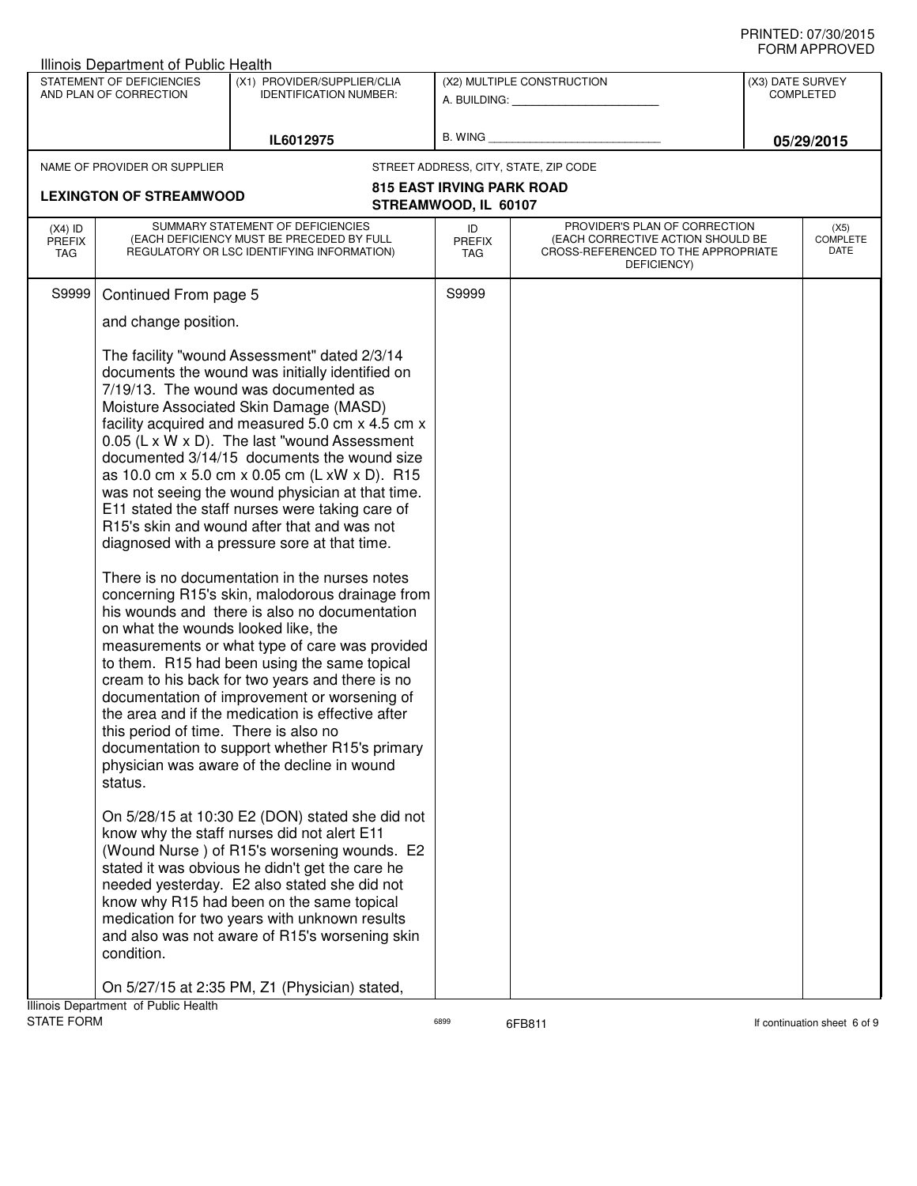|                                                                                         | Illinois Department of Public Health                                                                                                                                                                                                                                                                                                                                                                                                                                                                                                                                                                                                                                                             |                                                          |                                                                                                                          |                  |                          |  |
|-----------------------------------------------------------------------------------------|--------------------------------------------------------------------------------------------------------------------------------------------------------------------------------------------------------------------------------------------------------------------------------------------------------------------------------------------------------------------------------------------------------------------------------------------------------------------------------------------------------------------------------------------------------------------------------------------------------------------------------------------------------------------------------------------------|----------------------------------------------------------|--------------------------------------------------------------------------------------------------------------------------|------------------|--------------------------|--|
| STATEMENT OF DEFICIENCIES<br>AND PLAN OF CORRECTION                                     | (X1) PROVIDER/SUPPLIER/CLIA<br><b>IDENTIFICATION NUMBER:</b>                                                                                                                                                                                                                                                                                                                                                                                                                                                                                                                                                                                                                                     |                                                          | (X2) MULTIPLE CONSTRUCTION<br>A. BUILDING: __________________                                                            | (X3) DATE SURVEY | <b>COMPLETED</b>         |  |
|                                                                                         | IL6012975                                                                                                                                                                                                                                                                                                                                                                                                                                                                                                                                                                                                                                                                                        | B. WING                                                  |                                                                                                                          |                  | 05/29/2015               |  |
| NAME OF PROVIDER OR SUPPLIER                                                            |                                                                                                                                                                                                                                                                                                                                                                                                                                                                                                                                                                                                                                                                                                  |                                                          | STREET ADDRESS, CITY, STATE, ZIP CODE                                                                                    |                  |                          |  |
| <b>LEXINGTON OF STREAMWOOD</b>                                                          |                                                                                                                                                                                                                                                                                                                                                                                                                                                                                                                                                                                                                                                                                                  | <b>815 EAST IRVING PARK ROAD</b><br>STREAMWOOD, IL 60107 |                                                                                                                          |                  |                          |  |
| $(X4)$ ID<br><b>PREFIX</b><br>TAG                                                       | SUMMARY STATEMENT OF DEFICIENCIES<br>(EACH DEFICIENCY MUST BE PRECEDED BY FULL<br>REGULATORY OR LSC IDENTIFYING INFORMATION)                                                                                                                                                                                                                                                                                                                                                                                                                                                                                                                                                                     | ID<br><b>PREFIX</b><br>TAG                               | PROVIDER'S PLAN OF CORRECTION<br>(EACH CORRECTIVE ACTION SHOULD BE<br>CROSS-REFERENCED TO THE APPROPRIATE<br>DEFICIENCY) |                  | (X5)<br>COMPLETE<br>DATE |  |
| S9999<br>Continued From page 5                                                          |                                                                                                                                                                                                                                                                                                                                                                                                                                                                                                                                                                                                                                                                                                  | S9999                                                    |                                                                                                                          |                  |                          |  |
| and change position.                                                                    |                                                                                                                                                                                                                                                                                                                                                                                                                                                                                                                                                                                                                                                                                                  |                                                          |                                                                                                                          |                  |                          |  |
|                                                                                         | The facility "wound Assessment" dated 2/3/14<br>documents the wound was initially identified on<br>7/19/13. The wound was documented as<br>Moisture Associated Skin Damage (MASD)<br>facility acquired and measured 5.0 cm x 4.5 cm x<br>0.05 (L x W x D). The last "wound Assessment"<br>documented 3/14/15 documents the wound size<br>as 10.0 cm x 5.0 cm x 0.05 cm (L xW x D). R15<br>was not seeing the wound physician at that time.<br>E11 stated the staff nurses were taking care of<br>R15's skin and wound after that and was not<br>diagnosed with a pressure sore at that time.<br>There is no documentation in the nurses notes<br>concerning R15's skin, malodorous drainage from |                                                          |                                                                                                                          |                  |                          |  |
| on what the wounds looked like, the<br>this period of time. There is also no<br>status. | his wounds and there is also no documentation<br>measurements or what type of care was provided<br>to them. R15 had been using the same topical<br>cream to his back for two years and there is no<br>documentation of improvement or worsening of<br>the area and if the medication is effective after<br>documentation to support whether R15's primary<br>physician was aware of the decline in wound                                                                                                                                                                                                                                                                                         |                                                          |                                                                                                                          |                  |                          |  |
| condition.                                                                              | On 5/28/15 at 10:30 E2 (DON) stated she did not<br>know why the staff nurses did not alert E11<br>(Wound Nurse) of R15's worsening wounds. E2<br>stated it was obvious he didn't get the care he<br>needed yesterday. E2 also stated she did not<br>know why R15 had been on the same topical<br>medication for two years with unknown results<br>and also was not aware of R15's worsening skin                                                                                                                                                                                                                                                                                                 |                                                          |                                                                                                                          |                  |                          |  |
| Illinois Department of Public Health                                                    | On 5/27/15 at 2:35 PM, Z1 (Physician) stated,                                                                                                                                                                                                                                                                                                                                                                                                                                                                                                                                                                                                                                                    |                                                          |                                                                                                                          |                  |                          |  |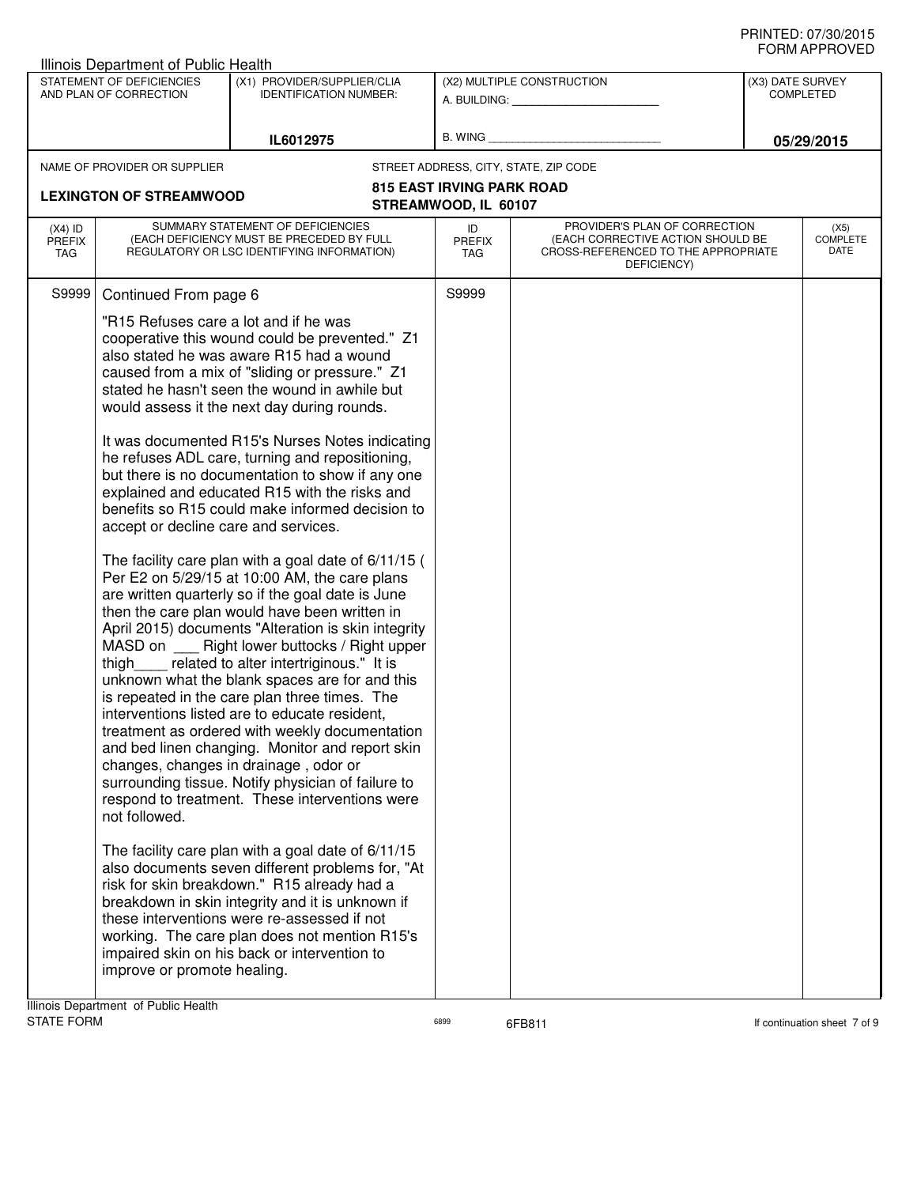|                                   | Illinois Department of Public Health                                                                                          |                                                                                                                                                                                                                                                                                                                                                                                                                                                                                                                                                                                                                                                                                                                                                                                                                                                                                                                                                                                                                                                                                                                                                                                                                                                                                                                                                                                                                                                                                                                                                                                                                                                                |                            |                                                                                                                          |                                      |
|-----------------------------------|-------------------------------------------------------------------------------------------------------------------------------|----------------------------------------------------------------------------------------------------------------------------------------------------------------------------------------------------------------------------------------------------------------------------------------------------------------------------------------------------------------------------------------------------------------------------------------------------------------------------------------------------------------------------------------------------------------------------------------------------------------------------------------------------------------------------------------------------------------------------------------------------------------------------------------------------------------------------------------------------------------------------------------------------------------------------------------------------------------------------------------------------------------------------------------------------------------------------------------------------------------------------------------------------------------------------------------------------------------------------------------------------------------------------------------------------------------------------------------------------------------------------------------------------------------------------------------------------------------------------------------------------------------------------------------------------------------------------------------------------------------------------------------------------------------|----------------------------|--------------------------------------------------------------------------------------------------------------------------|--------------------------------------|
|                                   | STATEMENT OF DEFICIENCIES<br>AND PLAN OF CORRECTION                                                                           | (X1) PROVIDER/SUPPLIER/CLIA<br><b>IDENTIFICATION NUMBER:</b>                                                                                                                                                                                                                                                                                                                                                                                                                                                                                                                                                                                                                                                                                                                                                                                                                                                                                                                                                                                                                                                                                                                                                                                                                                                                                                                                                                                                                                                                                                                                                                                                   |                            | (X2) MULTIPLE CONSTRUCTION<br>A. BUILDING: A. BUILDING:                                                                  | (X3) DATE SURVEY<br><b>COMPLETED</b> |
|                                   |                                                                                                                               | IL6012975                                                                                                                                                                                                                                                                                                                                                                                                                                                                                                                                                                                                                                                                                                                                                                                                                                                                                                                                                                                                                                                                                                                                                                                                                                                                                                                                                                                                                                                                                                                                                                                                                                                      | B. WING                    |                                                                                                                          | 05/29/2015                           |
|                                   | NAME OF PROVIDER OR SUPPLIER                                                                                                  |                                                                                                                                                                                                                                                                                                                                                                                                                                                                                                                                                                                                                                                                                                                                                                                                                                                                                                                                                                                                                                                                                                                                                                                                                                                                                                                                                                                                                                                                                                                                                                                                                                                                |                            | STREET ADDRESS, CITY, STATE, ZIP CODE                                                                                    |                                      |
| <b>LEXINGTON OF STREAMWOOD</b>    |                                                                                                                               | <b>815 EAST IRVING PARK ROAD</b><br>STREAMWOOD, IL 60107                                                                                                                                                                                                                                                                                                                                                                                                                                                                                                                                                                                                                                                                                                                                                                                                                                                                                                                                                                                                                                                                                                                                                                                                                                                                                                                                                                                                                                                                                                                                                                                                       |                            |                                                                                                                          |                                      |
| $(X4)$ ID<br><b>PREFIX</b><br>TAG |                                                                                                                               | SUMMARY STATEMENT OF DEFICIENCIES<br>(EACH DEFICIENCY MUST BE PRECEDED BY FULL<br>REGULATORY OR LSC IDENTIFYING INFORMATION)                                                                                                                                                                                                                                                                                                                                                                                                                                                                                                                                                                                                                                                                                                                                                                                                                                                                                                                                                                                                                                                                                                                                                                                                                                                                                                                                                                                                                                                                                                                                   | ID<br>PREFIX<br><b>TAG</b> | PROVIDER'S PLAN OF CORRECTION<br>(EACH CORRECTIVE ACTION SHOULD BE<br>CROSS-REFERENCED TO THE APPROPRIATE<br>DEFICIENCY) | (X5)<br><b>COMPLETE</b><br>DATE      |
| S9999                             | Continued From page 6                                                                                                         |                                                                                                                                                                                                                                                                                                                                                                                                                                                                                                                                                                                                                                                                                                                                                                                                                                                                                                                                                                                                                                                                                                                                                                                                                                                                                                                                                                                                                                                                                                                                                                                                                                                                | S9999                      |                                                                                                                          |                                      |
|                                   | "R15 Refuses care a lot and if he was<br>accept or decline care and services.<br>not followed.<br>improve or promote healing. | cooperative this wound could be prevented." Z1<br>also stated he was aware R15 had a wound<br>caused from a mix of "sliding or pressure." Z1<br>stated he hasn't seen the wound in awhile but<br>would assess it the next day during rounds.<br>It was documented R15's Nurses Notes indicating<br>he refuses ADL care, turning and repositioning,<br>but there is no documentation to show if any one<br>explained and educated R15 with the risks and<br>benefits so R15 could make informed decision to<br>The facility care plan with a goal date of 6/11/15 (<br>Per E2 on 5/29/15 at 10:00 AM, the care plans<br>are written quarterly so if the goal date is June<br>then the care plan would have been written in<br>April 2015) documents "Alteration is skin integrity<br>MASD on _____ Right lower buttocks / Right upper<br>thigh _ related to alter intertriginous." It is<br>unknown what the blank spaces are for and this<br>is repeated in the care plan three times. The<br>interventions listed are to educate resident,<br>treatment as ordered with weekly documentation<br>and bed linen changing. Monitor and report skin<br>changes, changes in drainage, odor or<br>surrounding tissue. Notify physician of failure to<br>respond to treatment. These interventions were<br>The facility care plan with a goal date of 6/11/15<br>also documents seven different problems for, "At<br>risk for skin breakdown." R15 already had a<br>breakdown in skin integrity and it is unknown if<br>these interventions were re-assessed if not<br>working. The care plan does not mention R15's<br>impaired skin on his back or intervention to |                            |                                                                                                                          |                                      |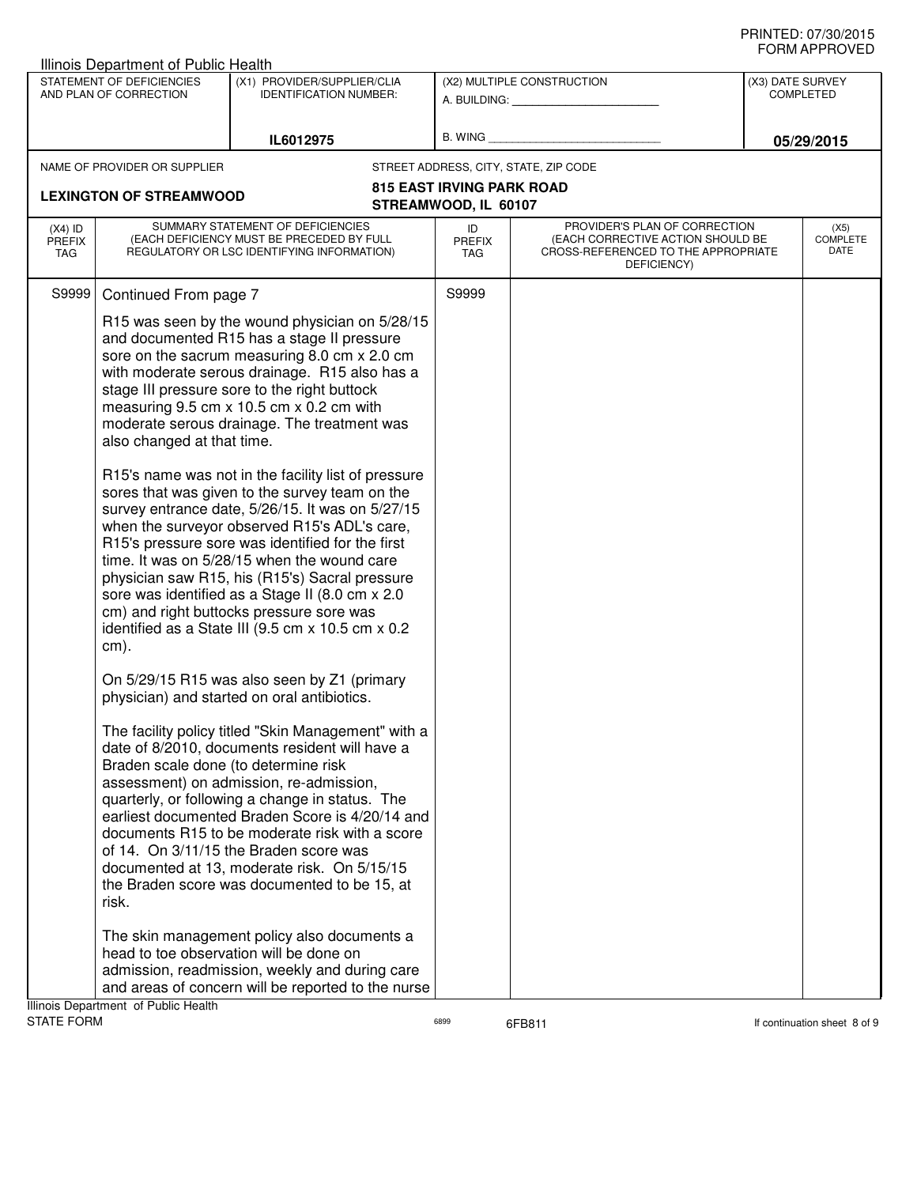|                                          | Illinois Department of Public Health<br>STATEMENT OF DEFICIENCIES | (X1) PROVIDER/SUPPLIER/CLIA                                                                                                                                                                                                                                                                                                                                                                                                                                                                                                                                                                                                                                                                                                                                                                                                                                    |                                  | (X2) MULTIPLE CONSTRUCTION                                                                                               | (X3) DATE SURVEY |                                        |
|------------------------------------------|-------------------------------------------------------------------|----------------------------------------------------------------------------------------------------------------------------------------------------------------------------------------------------------------------------------------------------------------------------------------------------------------------------------------------------------------------------------------------------------------------------------------------------------------------------------------------------------------------------------------------------------------------------------------------------------------------------------------------------------------------------------------------------------------------------------------------------------------------------------------------------------------------------------------------------------------|----------------------------------|--------------------------------------------------------------------------------------------------------------------------|------------------|----------------------------------------|
|                                          | AND PLAN OF CORRECTION                                            | <b>IDENTIFICATION NUMBER:</b>                                                                                                                                                                                                                                                                                                                                                                                                                                                                                                                                                                                                                                                                                                                                                                                                                                  |                                  | A. BUILDING: A. BUILDING:                                                                                                |                  | <b>COMPLETED</b>                       |
|                                          |                                                                   | IL6012975                                                                                                                                                                                                                                                                                                                                                                                                                                                                                                                                                                                                                                                                                                                                                                                                                                                      | B. WING                          |                                                                                                                          |                  | 05/29/2015                             |
|                                          | NAME OF PROVIDER OR SUPPLIER                                      |                                                                                                                                                                                                                                                                                                                                                                                                                                                                                                                                                                                                                                                                                                                                                                                                                                                                |                                  | STREET ADDRESS, CITY, STATE, ZIP CODE                                                                                    |                  |                                        |
|                                          | <b>LEXINGTON OF STREAMWOOD</b>                                    |                                                                                                                                                                                                                                                                                                                                                                                                                                                                                                                                                                                                                                                                                                                                                                                                                                                                | <b>815 EAST IRVING PARK ROAD</b> |                                                                                                                          |                  |                                        |
|                                          |                                                                   |                                                                                                                                                                                                                                                                                                                                                                                                                                                                                                                                                                                                                                                                                                                                                                                                                                                                | STREAMWOOD, IL 60107             |                                                                                                                          |                  |                                        |
| $(X4)$ ID<br><b>PREFIX</b><br><b>TAG</b> |                                                                   | SUMMARY STATEMENT OF DEFICIENCIES<br>(EACH DEFICIENCY MUST BE PRECEDED BY FULL<br>REGULATORY OR LSC IDENTIFYING INFORMATION)                                                                                                                                                                                                                                                                                                                                                                                                                                                                                                                                                                                                                                                                                                                                   | ID<br><b>PREFIX</b><br>TAG       | PROVIDER'S PLAN OF CORRECTION<br>(EACH CORRECTIVE ACTION SHOULD BE<br>CROSS-REFERENCED TO THE APPROPRIATE<br>DEFICIENCY) |                  | (X5)<br><b>COMPLETE</b><br><b>DATE</b> |
| S9999                                    | Continued From page 7                                             |                                                                                                                                                                                                                                                                                                                                                                                                                                                                                                                                                                                                                                                                                                                                                                                                                                                                | S9999                            |                                                                                                                          |                  |                                        |
|                                          | also changed at that time.<br>cm).                                | R15 was seen by the wound physician on 5/28/15<br>and documented R15 has a stage II pressure<br>sore on the sacrum measuring 8.0 cm x 2.0 cm<br>with moderate serous drainage. R15 also has a<br>stage III pressure sore to the right buttock<br>measuring 9.5 cm x 10.5 cm x 0.2 cm with<br>moderate serous drainage. The treatment was<br>R15's name was not in the facility list of pressure<br>sores that was given to the survey team on the<br>survey entrance date, 5/26/15. It was on 5/27/15<br>when the surveyor observed R15's ADL's care,<br>R15's pressure sore was identified for the first<br>time. It was on 5/28/15 when the wound care<br>physician saw R15, his (R15's) Sacral pressure<br>sore was identified as a Stage II (8.0 cm x 2.0<br>cm) and right buttocks pressure sore was<br>identified as a State III (9.5 cm x 10.5 cm x 0.2 |                                  |                                                                                                                          |                  |                                        |
|                                          |                                                                   | On 5/29/15 R15 was also seen by Z1 (primary<br>physician) and started on oral antibiotics.                                                                                                                                                                                                                                                                                                                                                                                                                                                                                                                                                                                                                                                                                                                                                                     |                                  |                                                                                                                          |                  |                                        |
|                                          | Braden scale done (to determine risk<br>risk.                     | The facility policy titled "Skin Management" with a<br>date of 8/2010, documents resident will have a<br>assessment) on admission, re-admission,<br>quarterly, or following a change in status. The<br>earliest documented Braden Score is 4/20/14 and<br>documents R15 to be moderate risk with a score<br>of 14. On 3/11/15 the Braden score was<br>documented at 13, moderate risk. On 5/15/15<br>the Braden score was documented to be 15, at                                                                                                                                                                                                                                                                                                                                                                                                              |                                  |                                                                                                                          |                  |                                        |
|                                          | Illinois Department of Public Health                              | The skin management policy also documents a<br>head to toe observation will be done on<br>admission, readmission, weekly and during care<br>and areas of concern will be reported to the nurse                                                                                                                                                                                                                                                                                                                                                                                                                                                                                                                                                                                                                                                                 |                                  |                                                                                                                          |                  |                                        |